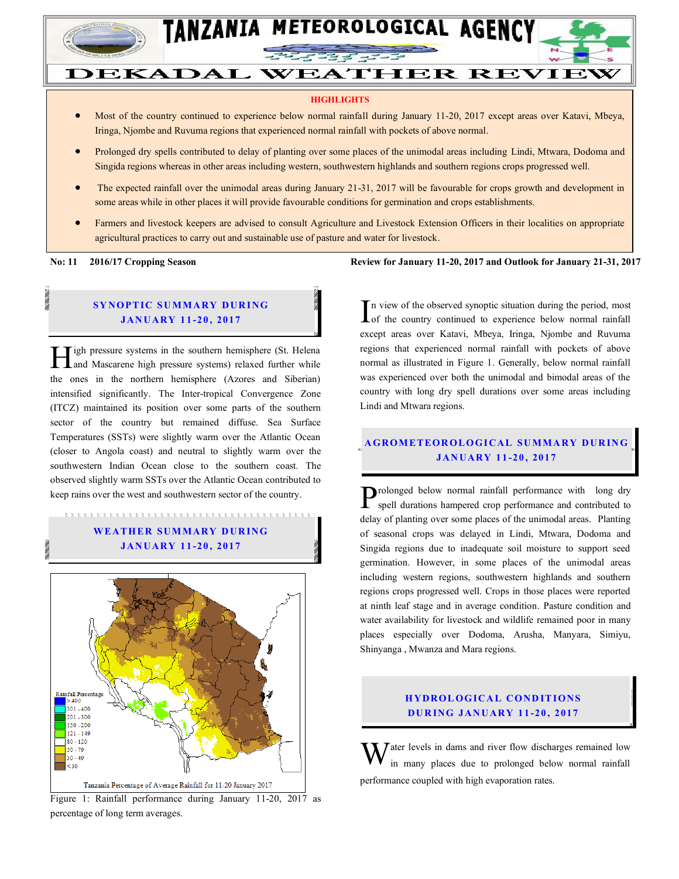

# **DEKADAL WEATHER REVIEW**

#### **HIGHLIGHTS**

- Most of the country continued to experience below normal rainfall during January 11-20, 2017 except areas over Katavi, Mbeya, Iringa, Njombe and Ruvuma regions that experienced normal rainfall with pockets of above normal.
- Prolonged dry spells contributed to delay of planting over some places of the unimodal areas including Lindi, Mtwara, Dodoma and Singida regions whereas in other areas including western, southwestern highlands and southern regions crops progressed well.
- The expected rainfall over the unimodal areas during January 21-31, 2017 will be favourable for crops growth and development in some areas while in other places it will provide favourable conditions for germination and crops establishments.
- Farmers and livestock keepers are advised to consult Agriculture and Livestock Extension Officers in their localities on appropriate agricultural practices to carry out and sustainable use of pasture and water for livestock.

#### **SYNOPTIC SUMMARY DURING JAN UARY 1 1 -20 , 2017**

igh pressure systems in the southern hemisphere (St. Helena **Allen Startings** and Mascarene high pressure systems) relaxed further while the ones in the northern hemisphere (Azores and Siberian) intensified significantly. The Inter-tropical Convergence Zone (ITCZ) maintained its position over some parts of the southern sector of the country but remained diffuse. Sea Surface Temperatures (SSTs) were slightly warm over the Atlantic Ocean (closer to Angola coast) and neutral to slightly warm over the southwestern Indian Ocean close to the southern coast. The observed slightly warm SSTs over the Atlantic Ocean contributed to keep rains over the west and southwestern sector of the country.

#### **W EATH ER SUM MARY D UR ING JAN UARY 1 1 -20 , 2017**

たたたたたたたたたたたたたたたたたたたたたたたたたたたたたた



Figure 1: Rainfall performance during January 11-20, 2017 as percentage of long term averages.

**No: 11** 2016/17 Cropping Season Review for January 11-20, 2017 and Outlook for January 21-31, 2017

n view of the observed synoptic situation during the period, most In view of the observed synoptic situation during the period, most<br>of the country continued to experience below normal rainfall<br> $\frac{1}{2}$ except areas over Katavi, Mbeya, Iringa, Njombe and Ruvuma regions that experienced normal rainfall with pockets of above normal as illustrated in Figure 1. Generally, below normal rainfall was experienced over both the unimodal and bimodal areas of the country with long dry spell durations over some areas including Lindi and Mtwara regions.

#### **A GROM ETEOR OLO GICAL SU MMA RY DUR IN G JAN UARY 1 1 -20 , 2017**

Prolonged below normal rainfall performance with long dry spell durations hampered crop performance and contributed to spell durations hampered crop performance and contributed to delay of planting over some places of the unimodal areas. Planting of seasonal crops was delayed in Lindi, Mtwara, Dodoma and Singida regions due to inadequate soil moisture to support seed germination. However, in some places of the unimodal areas including western regions, southwestern highlands and southern regions crops progressed well. Crops in those places were reported at ninth leaf stage and in average condition. Pasture condition and water availability for livestock and wildlife remained poor in many places especially over Dodoma, Arusha, Manyara, Simiyu, Shinyanga , Mwanza and Mara regions.

#### **HYDROLOGICAL CONDITIONS DU R ING JAN UARY 1 1 -20 , 2017**

 $\sum$  ater levels in dams and river flow discharges remained low in many places due to prolonged below normal rainfall performance coupled with high evaporation rates. W